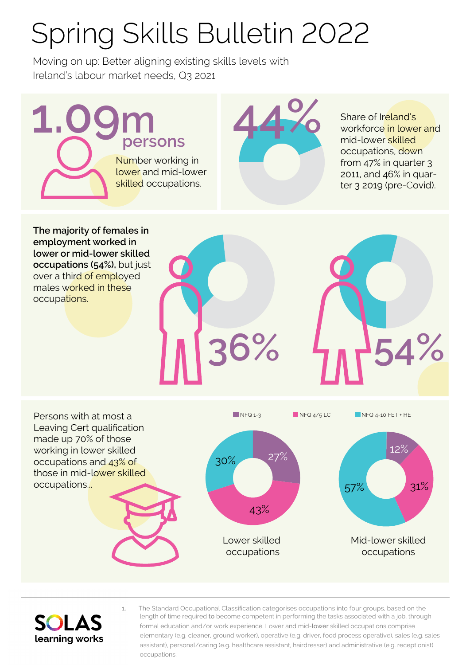## Spring Skills Bulletin 2022

Moving on up: Better aligning existing skills levels with Ireland's labour market needs, Q3 2021

**1.09m 44%** Number working in lower and mid-lower skilled occupations. **persons**

Share of Ireland's workforce in lower and mid-lower skilled occupations, down from 47% in quarter 3 2011, and 46% in quarter 3 2019 (pre-Covid).

**The majority of females in employment worked in lower or mid-lower skilled occupations (54%),** but just over a third of employed males worked in these occupations.







1. The Standard Occupational Classification categorises occupations into four groups, based on the length of time required to become competent in performing the tasks associated with a job, through formal education and/or work experience. Lower and mid-lower skilled occupations comprise elementary (e.g. cleaner, ground worker), operative (e.g. driver, food process operative), sales (e.g. sales assistant), personal/caring (e.g. healthcare assistant, hairdresser) and administrative (e.g. receptionist) occupations.